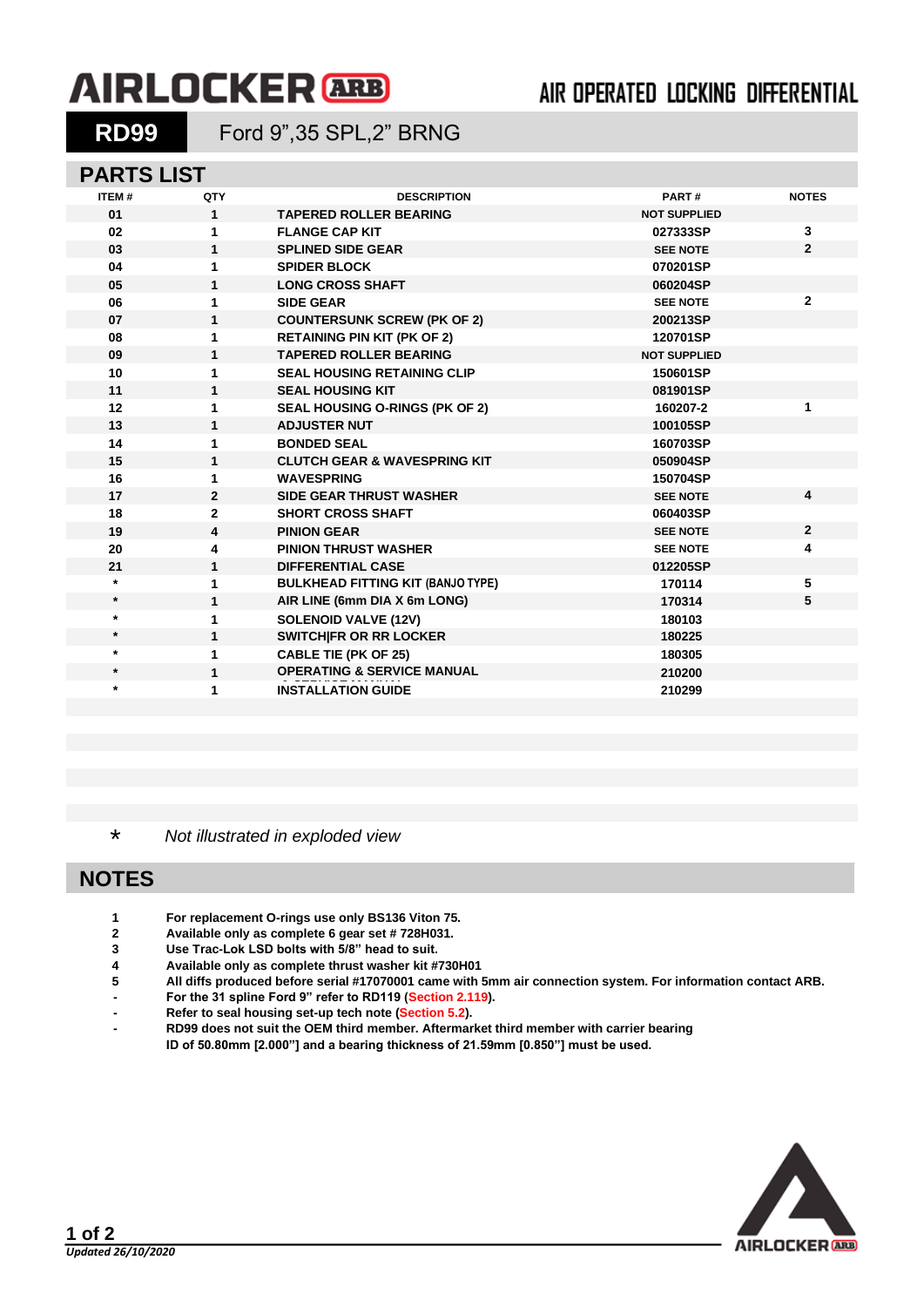# **AIRLOCKER** ARB

## AIR OPERATED LOCKING DIFFERENTIAL

**RD99** Ford 9",35 SPL,2" BRNG

#### **PARTS LIST**

| <b>ITEM#</b> | QTY            | <b>DESCRIPTION</b>                       | PART#               | <b>NOTES</b>   |
|--------------|----------------|------------------------------------------|---------------------|----------------|
| 01           | $\mathbf{1}$   | <b>TAPERED ROLLER BEARING</b>            | <b>NOT SUPPLIED</b> |                |
| 02           | 1              | <b>FLANGE CAP KIT</b>                    | 027333SP            | 3              |
| 03           | 1              | <b>SPLINED SIDE GEAR</b>                 | <b>SEE NOTE</b>     | $\mathbf{2}$   |
| 04           | 1              | <b>SPIDER BLOCK</b>                      | 070201SP            |                |
| 05           | 1              | <b>LONG CROSS SHAFT</b>                  | 060204SP            |                |
| 06           | 1              | <b>SIDE GEAR</b>                         | <b>SEE NOTE</b>     | $\mathbf{2}$   |
| 07           | $\mathbf{1}$   | <b>COUNTERSUNK SCREW (PK OF 2)</b>       | 200213SP            |                |
| 08           | 1              | <b>RETAINING PIN KIT (PK OF 2)</b>       | 120701SP            |                |
| 09           | $\mathbf{1}$   | <b>TAPERED ROLLER BEARING</b>            | <b>NOT SUPPLIED</b> |                |
| 10           | 1              | <b>SEAL HOUSING RETAINING CLIP</b>       | 150601SP            |                |
| 11           | $\mathbf{1}$   | <b>SEAL HOUSING KIT</b>                  | 081901SP            |                |
| 12           | 1              | <b>SEAL HOUSING O-RINGS (PK OF 2)</b>    | 160207-2            | 1              |
| 13           | $\mathbf{1}$   | <b>ADJUSTER NUT</b>                      | 100105SP            |                |
| 14           | 1              | <b>BONDED SEAL</b>                       | 160703SP            |                |
| 15           | $\mathbf{1}$   | <b>CLUTCH GEAR &amp; WAVESPRING KIT</b>  | 050904SP            |                |
| 16           | 1              | <b>WAVESPRING</b>                        | 150704SP            |                |
| 17           | $\overline{2}$ | <b>SIDE GEAR THRUST WASHER</b>           | <b>SEE NOTE</b>     | $\overline{4}$ |
| 18           | $\overline{2}$ | <b>SHORT CROSS SHAFT</b>                 | 060403SP            |                |
| 19           | 4              | <b>PINION GEAR</b>                       | <b>SEE NOTE</b>     | $\overline{2}$ |
| 20           | 4              | <b>PINION THRUST WASHER</b>              | <b>SEE NOTE</b>     | 4              |
| 21           | 1              | <b>DIFFERENTIAL CASE</b>                 | 012205SP            |                |
| $\star$      | 1              | <b>BULKHEAD FITTING KIT (BANJO TYPE)</b> | 170114              | 5              |
| $\star$      | $\mathbf{1}$   | AIR LINE (6mm DIA X 6m LONG)             | 170314              | 5              |
| $\star$      | 1              | <b>SOLENOID VALVE (12V)</b>              | 180103              |                |
| $\star$      | 1              | <b>SWITCHIFR OR RR LOCKER</b>            | 180225              |                |
| $\star$      | 1              | <b>CABLE TIE (PK OF 25)</b>              | 180305              |                |
| $\star$      | 1              | <b>OPERATING &amp; SERVICE MANUAL</b>    | 210200              |                |
| $\star$      | 1              | <b>INSTALLATION GUIDE</b>                | 210299              |                |
|              |                |                                          |                     |                |

\* *Not illustrated in exploded view*

### **NOTES**

- **1 For replacement O-rings use only BS136 Viton 75.**
- **2 Available only as complete 6 gear set # 728H031.**
- **3 Use Trac-Lok LSD bolts with 5/8" head to suit.**
- **4 Available only as complete thrust washer kit #730H01**
- **5 All diffs produced before serial #17070001 came with 5mm air connection system. For information contact ARB.**
- **- For the 31 spline Ford 9" refer to RD119 [\(Section 2.119\)](2-rd119.pdf).**
- **- Refer to seal housing set-up tech note [\(Section 5.2\)](5-02.PDF).**
- **- RD99 does not suit the OEM third member. Aftermarket third member with carrier bearing**

**ID of 50.80mm [2.000"] and a bearing thickness of 21.59mm [0.850"] must be used.**